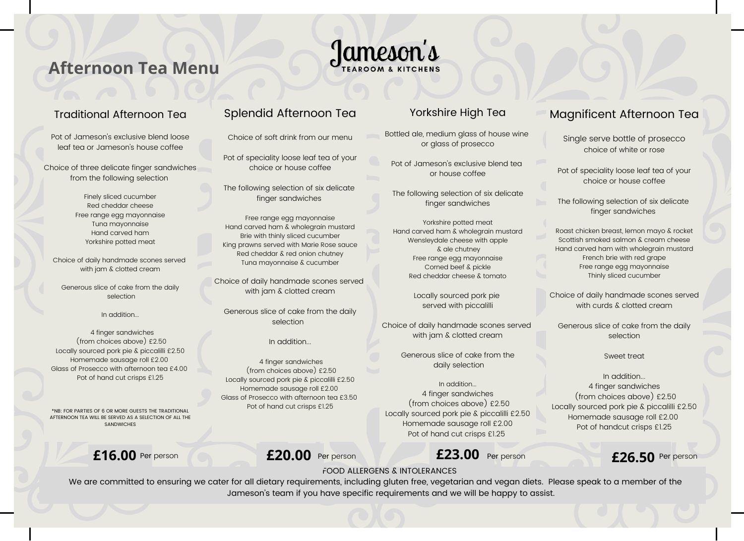# **Afternoon Tea Menu**

#### Traditional Afternoon Tea

Pot of Jameson's exclusive blend loose leaf tea or Jameson's house coffee

Choice of three delicate finger sandwiches from the following selection

> Finely sliced cucumber Red cheddar cheese Free range egg mayonnaise Tuna mayonnaise Hand carved ham Yorkshire potted meat

Choice of daily handmade scones served with jam & clotted cream

Generous slice of cake from the daily selection

In addition...

4 finger sandwiches (from choices above) £2.50 Locally sourced pork pie & piccalilli £2.50 Homemade sausage roll £2.00 Glass of Prosecco with afternoon tea £4.00 Pot of hand cut crisps £1.25

\*NB: FOR PARTIES OF 6 OR MORE GUESTS THE TRADITIONAL AFTERNOON TEA WILL BE SERVED AS A SELECTION OF ALL THE **CANDWICHES** 

**£16.00** Per person **£20.00** Per person **£23.00** Per person **£26.50** Per person

### Splendid Afternoon Tea

Choice of soft drink from our menu

Pot of speciality loose leaf tea of your choice or house coffee

The following selection of six delicate finger sandwiches

Free range egg mayonnaise Hand carved ham & wholegrain mustard Brie with thinly sliced cucumber King prawns served with Marie Rose sauce Red cheddar & red onion chutney Tuna mayonnaise & cucumber

Choice of daily handmade scones served with jam & clotted cream

Generous slice of cake from the daily selection

In addition...

4 finger sandwiches (from choices above) £2.50 Locally sourced pork pie & piccalilli £2.50 Homemade sausage roll £2.00 Glass of Prosecco with afternoon tea £3.50 Pot of hand cut crisps £1.25

#### Yorkshire High Tea

Bottled ale, medium glass of house wine or glass of prosecco

Pot of Jameson's exclusive blend tea or house coffee

The following selection of six delicate finger sandwiches

Yorkshire potted meat Hand carved ham & wholegrain mustard Wensleydale cheese with apple & ale chutney Free range egg mayonnaise Corned beef & pickle Red cheddar cheese & tomato

> Locally sourced pork pie served with piccalilli

Choice of daily handmade scones served with jam & clotted cream

> Generous slice of cake from the daily selection

In addition... 4 finger sandwiches (from choices above) £2.50 Locally sourced pork pie & piccalilli £2.50 Homemade sausage roll £2.00 Pot of hand cut crisps £1.25

### Magnificent Afternoon Tea

Single serve bottle of prosecco choice of white or rose

Pot of speciality loose leaf tea of your choice or house coffee

The following selection of six delicate finger sandwiches

Roast chicken breast, lemon mayo & rocket Scottish smoked salmon & cream cheese Hand carved ham with wholegrain mustard French brie with red grape Free range egg mayonnaise Thinly sliced cucumber

Choice of daily handmade scones served with curds & clotted cream

Generous slice of cake from the daily selection

Sweet treat

In addition... 4 finger sandwiches (from choices above) £2.50 Locally sourced pork pie & piccalilli £2.50 Homemade sausage roll £2.00 Pot of handcut crisps £1.25

FOOD ALLERGENS & INTOLERANCES

Jameson's

We are committed to ensuring we cater for all dietary requirements, including gluten free, vegetarian and vegan diets. Please speak to a member of the Jameson's team if you have specific requirements and we will be happy to assist.